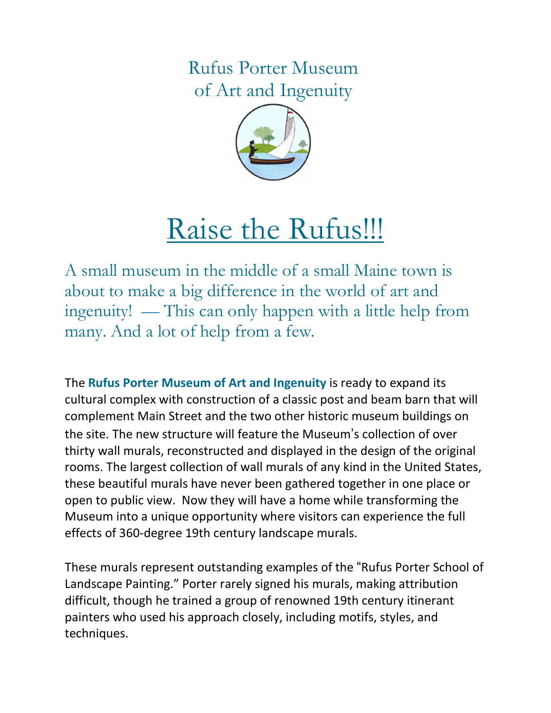Rufus Porter Museum of Art and Ingenuity



# Raise the Rufus!!!

A small museum in the middle of a small Maine town is about to make a big difference in the world of art and ingenuity! — This can only happen with a little help from many. And a lot of help from a few.

The Rufus Porter Museum of Art and Ingenuity is ready to expand its cultural complex with construction of a classic post and beam barn that will complement Main Street and the two other historic museum buildings on the site. The new structure will feature the Museum's collection of over thirty wall murals, reconstructed and displayed in the design of the original rooms. The largest collection of wall murals of any kind in the United States, these beautiful murals have never been gathered together in one place or open to public view. Now they will have a home while transforming the Museum into a unique opportunity where visitors can experience the full effects of 360-degree 19th century landscape murals.

These murals represent outstanding examples of the "Rufus Porter School of Landscape Painting." Porter rarely signed his murals, making attribution difficult, though he trained a group of renowned 19th century itinerant painters who used his approach closely, including motifs, styles, and techniques.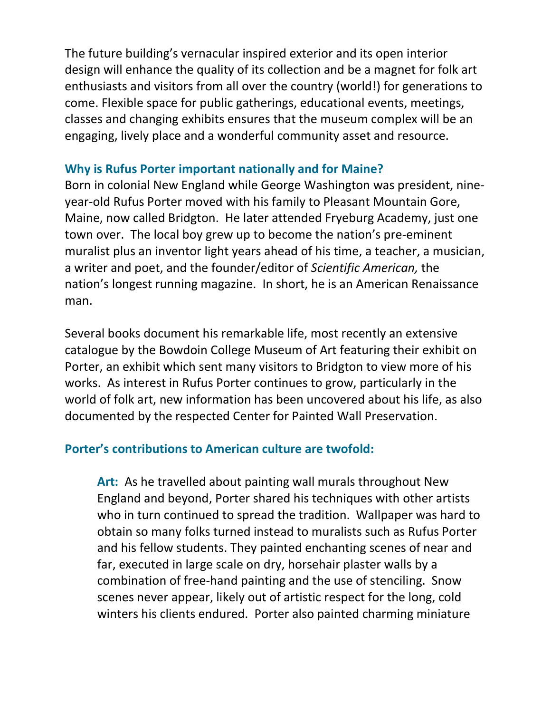The future building's vernacular inspired exterior and its open interior design will enhance the quality of its collection and be a magnet for folk art enthusiasts and visitors from all over the country (world!) for generations to come. Flexible space for public gatherings, educational events, meetings, classes and changing exhibits ensures that the museum complex will be an engaging, lively place and a wonderful community asset and resource.

### Why is Rufus Porter important nationally and for Maine?

Born in colonial New England while George Washington was president, nineyear-old Rufus Porter moved with his family to Pleasant Mountain Gore, Maine, now called Bridgton. He later attended Fryeburg Academy, just one town over. The local boy grew up to become the nation's pre-eminent muralist plus an inventor light years ahead of his time, a teacher, a musician, a writer and poet, and the founder/editor of Scientific American, the nation's longest running magazine. In short, he is an American Renaissance man.

Several books document his remarkable life, most recently an extensive catalogue by the Bowdoin College Museum of Art featuring their exhibit on Porter, an exhibit which sent many visitors to Bridgton to view more of his works. As interest in Rufus Porter continues to grow, particularly in the world of folk art, new information has been uncovered about his life, as also documented by the respected Center for Painted Wall Preservation.

#### Porter's contributions to American culture are twofold:

Art: As he travelled about painting wall murals throughout New England and beyond, Porter shared his techniques with other artists who in turn continued to spread the tradition. Wallpaper was hard to obtain so many folks turned instead to muralists such as Rufus Porter and his fellow students. They painted enchanting scenes of near and far, executed in large scale on dry, horsehair plaster walls by a combination of free-hand painting and the use of stenciling. Snow scenes never appear, likely out of artistic respect for the long, cold winters his clients endured. Porter also painted charming miniature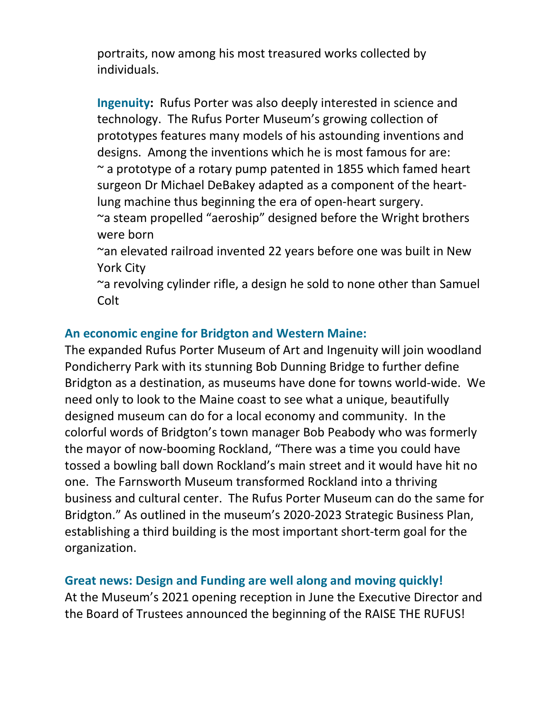portraits, now among his most treasured works collected by individuals.

Ingenuity: Rufus Porter was also deeply interested in science and technology. The Rufus Porter Museum's growing collection of prototypes features many models of his astounding inventions and designs. Among the inventions which he is most famous for are:  $\sim$  a prototype of a rotary pump patented in 1855 which famed heart surgeon Dr Michael DeBakey adapted as a component of the heartlung machine thus beginning the era of open-heart surgery. ~a steam propelled "aeroship" designed before the Wright brothers

were born

~an elevated railroad invented 22 years before one was built in New York City

~a revolving cylinder rifle, a design he sold to none other than Samuel Colt

# An economic engine for Bridgton and Western Maine:

The expanded Rufus Porter Museum of Art and Ingenuity will join woodland Pondicherry Park with its stunning Bob Dunning Bridge to further define Bridgton as a destination, as museums have done for towns world-wide. We need only to look to the Maine coast to see what a unique, beautifully designed museum can do for a local economy and community. In the colorful words of Bridgton's town manager Bob Peabody who was formerly the mayor of now-booming Rockland, "There was a time you could have tossed a bowling ball down Rockland's main street and it would have hit no one. The Farnsworth Museum transformed Rockland into a thriving business and cultural center. The Rufus Porter Museum can do the same for Bridgton." As outlined in the museum's 2020-2023 Strategic Business Plan, establishing a third building is the most important short-term goal for the organization.

## Great news: Design and Funding are well along and moving quickly!

At the Museum's 2021 opening reception in June the Executive Director and the Board of Trustees announced the beginning of the RAISE THE RUFUS!